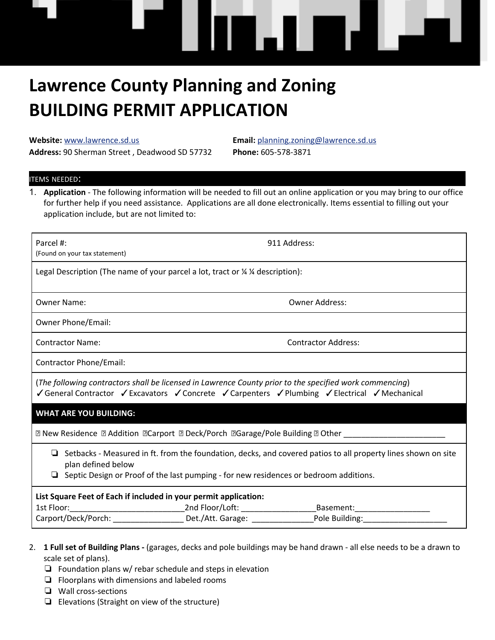# **Lawrence County Planning and Zoning BUILDING PERMIT APPLICATION**

**Website:** [www.lawrence.sd.us](mailto:www@lawrence.sd.us) **Email:** [planning.zoning@lawrence.sd.us](mailto:planning.zoning@lawrence.sd.us) **Address:** 90 Sherman Street , Deadwood SD 57732 **Phone:** 605-578-3871

W. AND EN

#### ITEMS NEEDED:

1. **Application** - The following information will be needed to fill out an online application or you may bring to our office for further help if you need assistance. Applications are all done electronically. Items essential to filling out your application include, but are not limited to:

| Parcel #:<br>(Found on your tax statement)                                                                                                                                                                                          | 911 Address:                                         |
|-------------------------------------------------------------------------------------------------------------------------------------------------------------------------------------------------------------------------------------|------------------------------------------------------|
| Legal Description (The name of your parcel a lot, tract or % % description):                                                                                                                                                        |                                                      |
| <b>Owner Name:</b>                                                                                                                                                                                                                  | <b>Owner Address:</b>                                |
| Owner Phone/Email:                                                                                                                                                                                                                  |                                                      |
| <b>Contractor Name:</b>                                                                                                                                                                                                             | <b>Contractor Address:</b>                           |
| Contractor Phone/Email:                                                                                                                                                                                                             |                                                      |
| (The following contractors shall be licensed in Lawrence County prior to the specified work commencing)<br>General Contractor Gexcavators Geonerete Gearpenters Gelumbing Gelectrical Generalical                                   |                                                      |
| <b>WHAT ARE YOU BUILDING:</b>                                                                                                                                                                                                       |                                                      |
| 2 New Residence 2 Addition 2 Carport 2 Deck/Porch 2 Garage/Pole Building 2 Other __________________                                                                                                                                 |                                                      |
| $\Box$ Setbacks - Measured in ft. from the foundation, decks, and covered patios to all property lines shown on site<br>plan defined below<br>Septic Design or Proof of the last pumping - for new residences or bedroom additions. |                                                      |
| List Square Feet of Each if included in your permit application:                                                                                                                                                                    |                                                      |
|                                                                                                                                                                                                                                     | Carport/Deck/Porch: Det./Att. Garage: Pole Building: |
|                                                                                                                                                                                                                                     |                                                      |

- 2. **1 Full set of Building Plans -** (garages, decks and pole buildings may be hand drawn all else needs to be a drawn to scale set of plans).
	- ❏ Foundation plans w/ rebar schedule and steps in elevation
	- ❏ Floorplans with dimensions and labeled rooms
	- ❏ Wall cross-sections
	- ❏ Elevations (Straight on view of the structure)